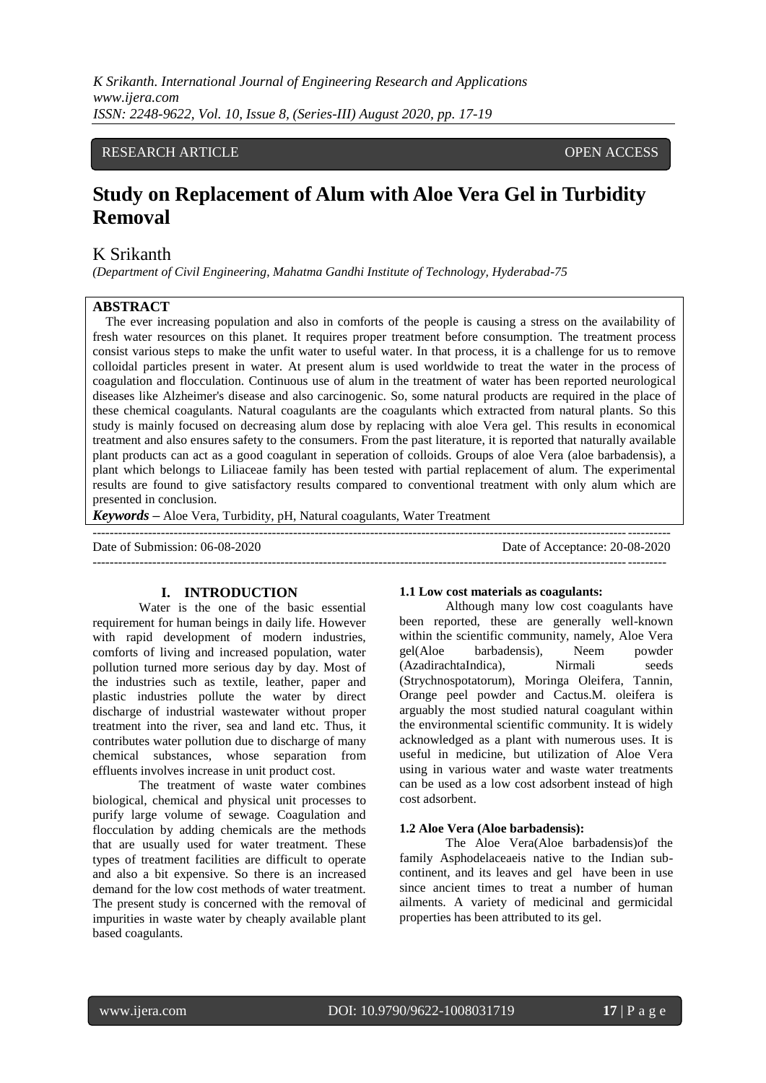# RESEARCH ARTICLE **CONSERVERS** OPEN ACCESS

# **Study on Replacement of Alum with Aloe Vera Gel in Turbidity Removal**

# K Srikanth

*(Department of Civil Engineering, Mahatma Gandhi Institute of Technology, Hyderabad-75*

# **ABSTRACT**

The ever increasing population and also in comforts of the people is causing a stress on the availability of fresh water resources on this planet. It requires proper treatment before consumption. The treatment process consist various steps to make the unfit water to useful water. In that process, it is a challenge for us to remove colloidal particles present in water. At present alum is used worldwide to treat the water in the process of coagulation and flocculation. Continuous use of alum in the treatment of water has been reported neurological diseases like Alzheimer's disease and also carcinogenic. So, some natural products are required in the place of these chemical coagulants. Natural coagulants are the coagulants which extracted from natural plants. So this study is mainly focused on decreasing alum dose by replacing with aloe Vera gel. This results in economical treatment and also ensures safety to the consumers. From the past literature, it is reported that naturally available plant products can act as a good coagulant in seperation of colloids. Groups of aloe Vera (aloe barbadensis), a plant which belongs to Liliaceae family has been tested with partial replacement of alum. The experimental results are found to give satisfactory results compared to conventional treatment with only alum which are presented in conclusion.

*Keywords* **–** Aloe Vera, Turbidity, pH, Natural coagulants, Water Treatment

--------------------------------------------------------------------------------------------------------------------------------------- Date of Submission: 06-08-2020 Date of Acceptance: 20-08-2020 --------------------------------------------------------------------------------------------------------------------------------------

# **I. INTRODUCTION**

Water is the one of the basic essential requirement for human beings in daily life. However with rapid development of modern industries, comforts of living and increased population, water pollution turned more serious day by day. Most of the industries such as textile, leather, paper and plastic industries pollute the water by direct discharge of industrial wastewater without proper treatment into the river, sea and land etc. Thus, it contributes water pollution due to discharge of many chemical substances, whose separation from effluents involves increase in unit product cost.

The treatment of waste water combines biological, chemical and physical unit processes to purify large volume of sewage. Coagulation and flocculation by adding chemicals are the methods that are usually used for water treatment. These types of treatment facilities are difficult to operate and also a bit expensive. So there is an increased demand for the low cost methods of water treatment. The present study is concerned with the removal of impurities in waste water by cheaply available plant based coagulants.

#### **1.1 Low cost materials as coagulants:**

Although many low cost coagulants have been reported, these are generally well-known within the scientific community, namely, Aloe Vera gel(Aloe barbadensis), Neem powder (AzadirachtaIndica), Nirmali seeds (Strychnospotatorum), Moringa Oleifera, Tannin, Orange peel powder and Cactus.M. oleifera is arguably the most studied natural coagulant within the environmental scientific community. It is widely acknowledged as a plant with numerous uses. It is useful in medicine, but utilization of Aloe Vera using in various water and waste water treatments can be used as a low cost adsorbent instead of high cost adsorbent.

#### **1.2 Aloe Vera (Aloe barbadensis):**

The Aloe Vera(Aloe barbadensis)of the family Asphodelaceaeis native to the Indian subcontinent, and its leaves and gel have been in use since ancient times to treat a number of human ailments. A variety of medicinal and germicidal properties has been attributed to its gel.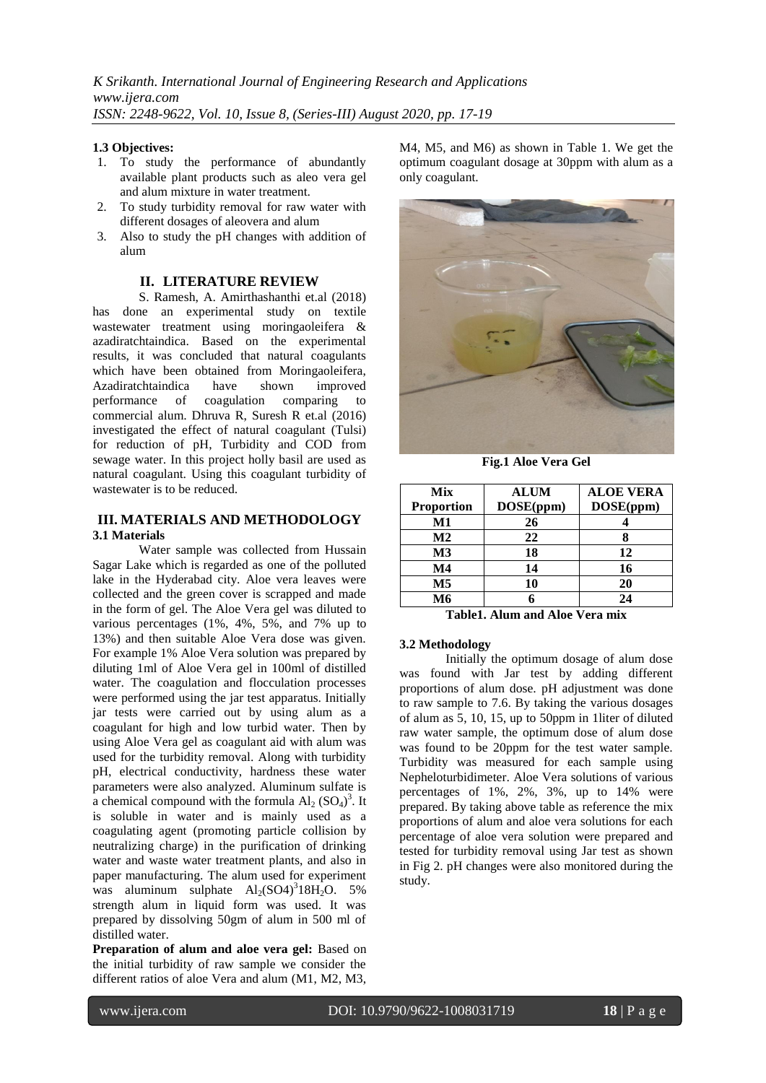### **1.3 Objectives:**

- 1. To study the performance of abundantly available plant products such as aleo vera gel and alum mixture in water treatment.
- 2. To study turbidity removal for raw water with different dosages of aleovera and alum
- 3. Also to study the pH changes with addition of alum

#### **II. LITERATURE REVIEW**

S. Ramesh, A. Amirthashanthi et.al (2018) has done an experimental study on textile wastewater treatment using moringaoleifera & azadiratchtaindica. Based on the experimental results, it was concluded that natural coagulants which have been obtained from Moringaoleifera, Azadiratchtaindica have shown improved performance of coagulation comparing to commercial alum. Dhruva R, Suresh R et.al (2016) investigated the effect of natural coagulant (Tulsi) for reduction of pH, Turbidity and COD from sewage water. In this project holly basil are used as natural coagulant. Using this coagulant turbidity of wastewater is to be reduced.

#### **III. MATERIALS AND METHODOLOGY 3.1 Materials**

Water sample was collected from Hussain Sagar Lake which is regarded as one of the polluted lake in the Hyderabad city. Aloe vera leaves were collected and the green cover is scrapped and made in the form of gel. The Aloe Vera gel was diluted to various percentages (1%, 4%, 5%, and 7% up to 13%) and then suitable Aloe Vera dose was given. For example 1% Aloe Vera solution was prepared by diluting 1ml of Aloe Vera gel in 100ml of distilled water. The coagulation and flocculation processes were performed using the jar test apparatus. Initially jar tests were carried out by using alum as a coagulant for high and low turbid water. Then by using Aloe Vera gel as coagulant aid with alum was used for the turbidity removal. Along with turbidity pH, electrical conductivity, hardness these water parameters were also analyzed. Aluminum sulfate is a chemical compound with the formula  $Al_2(SO_4)^3$ . It is soluble in water and is mainly used as a coagulating agent (promoting particle collision by neutralizing charge) in the purification of drinking water and waste water treatment plants, and also in paper manufacturing. The alum used for experiment was aluminum sulphate  $Al_2(SO4)^318H_2O$ . 5% strength alum in liquid form was used. It was prepared by dissolving 50gm of alum in 500 ml of distilled water.

**Preparation of alum and aloe vera gel:** Based on the initial turbidity of raw sample we consider the different ratios of aloe Vera and alum (M1, M2, M3,

M4, M5, and M6) as shown in Table 1. We get the optimum coagulant dosage at 30ppm with alum as a only coagulant.



**Fig.1 Aloe Vera Gel**

| Mix<br><b>Proportion</b> | <b>ALUM</b><br>DOSE(ppm) | <b>ALOE VERA</b><br>DOSE(ppm) |
|--------------------------|--------------------------|-------------------------------|
| M1                       | 26                       |                               |
| $\mathbf{M2}$            | 22                       |                               |
| M <sub>3</sub>           | 18                       | 12                            |
| $\mathbf{M}4$            | 14                       | 16                            |
| $\mathbf{M5}$            | 10                       | 20                            |
| M6                       |                          | 24                            |

**Table1. Alum and Aloe Vera mix**

# **3.2 Methodology**

Initially the optimum dosage of alum dose was found with Jar test by adding different proportions of alum dose. pH adjustment was done to raw sample to 7.6. By taking the various dosages of alum as 5, 10, 15, up to 50ppm in 1liter of diluted raw water sample, the optimum dose of alum dose was found to be 20ppm for the test water sample. Turbidity was measured for each sample using Nepheloturbidimeter. Aloe Vera solutions of various percentages of 1%, 2%, 3%, up to 14% were prepared. By taking above table as reference the mix proportions of alum and aloe vera solutions for each percentage of aloe vera solution were prepared and tested for turbidity removal using Jar test as shown in Fig 2. pH changes were also monitored during the study.